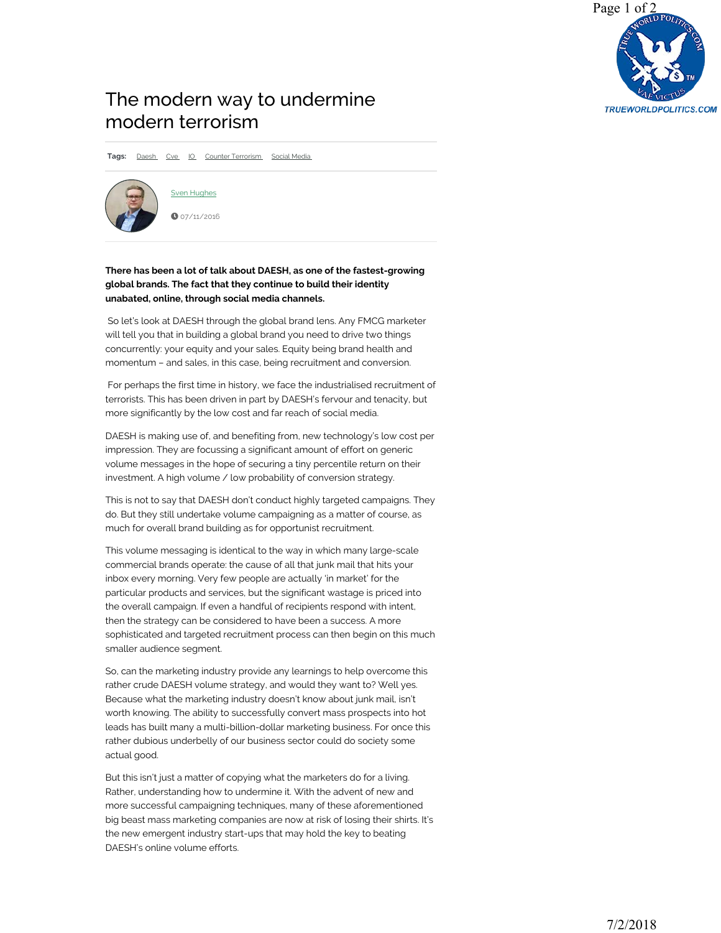

## [The modern way to undermine](https://www.defenceiq.com/defence-technology/articles/the-modern-way-to-undermine-modern-terrorism)  modern terrorism

**Tags:** Daesh Cve IO Counter Terrorism Social Media



Sven Hughes  $0.07/11/2016$ 

## **There has been a lot of talk about DAESH, as one of the fastest-growing global brands. The fact that they continue to build their identity unabated, online, through social media channels.**

So let's look at DAESH through the global brand lens. Any FMCG marketer will tell you that in building a global brand you need to drive two things concurrently: your equity and your sales. Equity being brand health and momentum – and sales, in this case, being recruitment and conversion.

For perhaps the first time in history, we face the industrialised recruitment of terrorists. This has been driven in part by DAESH's fervour and tenacity, but more significantly by the low cost and far reach of social media.

DAESH is making use of, and benefiting from, new technology's low cost per impression. They are focussing a significant amount of effort on generic volume messages in the hope of securing a tiny percentile return on their investment. A high volume / low probability of conversion strategy.

This is not to say that DAESH don't conduct highly targeted campaigns. They do. But they still undertake volume campaigning as a matter of course, as much for overall brand building as for opportunist recruitment.

This volume messaging is identical to the way in which many large-scale commercial brands operate: the cause of all that junk mail that hits your inbox every morning. Very few people are actually 'in market' for the particular products and services, but the significant wastage is priced into the overall campaign. If even a handful of recipients respond with intent, then the strategy can be considered to have been a success. A more sophisticated and targeted recruitment process can then begin on this much smaller audience segment.

So, can the marketing industry provide any learnings to help overcome this rather crude DAESH volume strategy, and would they want to? Well yes. Because what the marketing industry doesn't know about junk mail, isn't worth knowing. The ability to successfully convert mass prospects into hot leads has built many a multi-billion-dollar marketing business. For once this rather dubious underbelly of our business sector could do society some actual good.

But this isn't just a matter of copying what the marketers do for a living. Rather, understanding how to undermine it. With the advent of new and more successful campaigning techniques, many of these aforementioned big beast mass marketing companies are now at risk of losing their shirts. It's the new emergent industry start-ups that may hold the key to beating DAESH's online volume efforts.